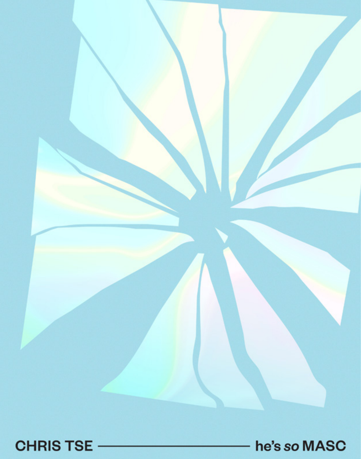

**CHRIS TSE** 

he's so MASC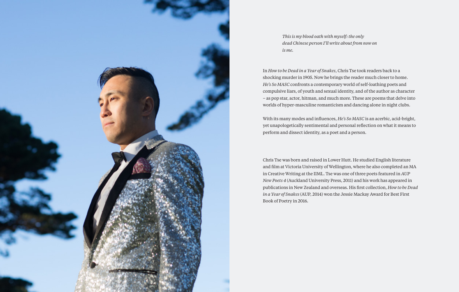

*This is my blood oath with myself: the only dead Chinese person I'll write about from now on is me.* 

In *How to be Dead in a Year of Snakes*, Chris Tse took readers back to a shocking murder in 1905. Now he brings the reader much closer to home. *He's So MASC* confronts a contemporary world of self-loathing poets and compulsive liars, of youth and sexual identity, and of the author as character – as pop star, actor, hitman, and much more. These are poems that delve into worlds of hyper-masculine romanticism and dancing alone in night clubs.

With its many modes and influences, *He's So MASC* is an acerbic, acid-bright, yet unapologetically sentimental and personal reflection on what it means to perform and dissect identity, as a poet and a person.

Chris Tse was born and raised in Lower Hutt. He studied English literature and film at Victoria University of Wellington, where he also completed an MA in Creative Writing at the IIML. Tse was one of three poets featured in *AUP New Poets 4* (Auckland University Press, 2011) and his work has appeared in publications in New Zealand and overseas. His first collection, *How to be Dead in a Year of Snakes* (AUP, 2014) won the Jessie Mackay Award for Best First Book of Poetry in 2016.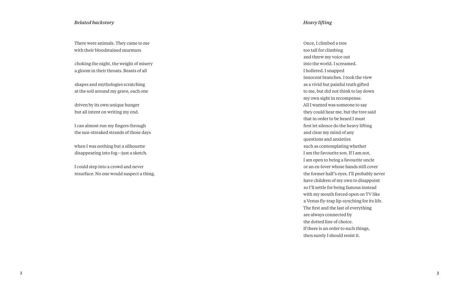## *Belated backstory*

There were animals. They came to me with their bloodstained murmurs

choking the night, the weight of misery a gloom in their throats. Beasts of all

shapes and mythologies scratching at the soil around my grave, each one

driven by its own unique hunger but all intent on writing my end.

I can almost run my fingers through the sun-streaked strands of those days

when I was nothing but a silhouette disappearing into fog—just a sketch.

I could step into a crowd and never resurface. No one would suspect a thing.

## *Heavy lifting*

Once, I climbed a tree too tall for climbing and threw my voice out into the world. I screamed. I hollered. I snapped innocent branches. I took the view as a vivid but painful truth gifted to me, but did not think to lay down my own sight in recompense. All I wanted was someone to say they could hear me, but the tree said that in order to be heard I must first let silence do the heavy lifting and clear my mind of any questions and anxieties such as contemplating whether I am the favourite son. If I am not, I am open to being a favourite uncle or an ex-lover whose hands still cover the former half's eyes. I'll probably never have children of my own to disappoint so I'll settle for being famous instead with my mouth forced open on TV like a Venus fly-trap lip-synching for its life. The first and the last of everything are always connected by the dotted line of choice. If there is an order to such things, then surely I should resist it.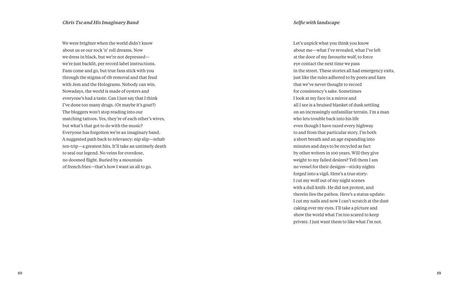We were brighter when the world didn't know about us or our rock 'n' roll dreams. Now we dress in black, but we're not depressed we're just backlit, per record label instructions. Fans come and go, but true fans stick with you through the stigma of rib removal and that feud with Jem and the Holograms. Nobody can win. Nowadays, the world is made of oysters and everyone's had a taste. Can I just say that I think I've done too many drugs. (Or maybe it's gout?) The bloggers won't stop reading into our matching tattoos. Yes, they're of each other's wives, but what's that got to do with the music? Everyone has forgotten we're an imaginary band. A suggested path back to relevancy: nip slip—rehab ten-trip—a greatest hits. It'll take an untimely death to seal our legend. No veins for overdose, no doomed flight. Buried by a mountain of french fries—that's how I want us all to go.

Let's unpick what you think you know about me—what I've revealed, what I've left at the door of my favourite wolf, to force eye contact the next time we pass in the street. These stories all had emergency exits, just like the rules adhered to by poets and liars that we've never thought to record for consistency's sake. Sometimes I look at my face in a mirror and all I see is a bruised blanket of dusk settling on an increasingly unfamiliar terrain. I'm a man who lets trouble back into his life even though I have razed every highway to and from that particular story. I'm both a short breath and an age expanding into minutes and days to be recycled as fact by other writers in 100 years. Will they give weight to my failed desires? Tell them I am no vessel for their designs—sticky nights forged into a vigil. Here's a true story: I cut my wolf out of my night scenes with a dull knife. He did not protest, and therein lies the pathos. Here's a status update: I cut my nails and now I can't scratch at the dust caking over my eyes. I'll take a picture and show the world what I'm too scared to keep private. I just want them to like what I'm not.